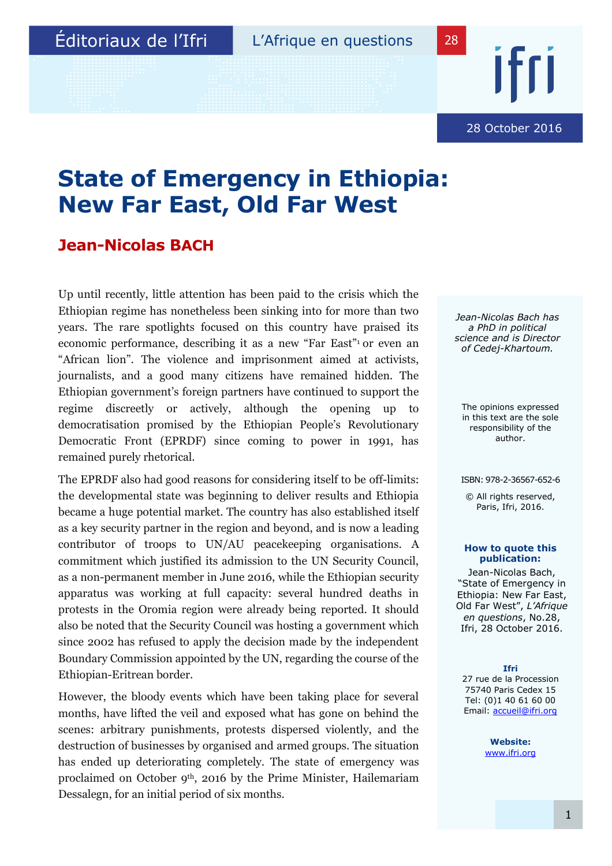28 October 2016

## **State of Emergency in Ethiopia: New Far East, Old Far West**

## **Jean-Nicolas BACH**

Up until recently, little attention has been paid to the crisis which the Ethiopian regime has nonetheless been sinking into for more than two years. The rare spotlights focused on this country have praised its economic performance, describing it as a new "Far East"<sup>1</sup> or even an "African lion". The violence and imprisonment aimed at activists, journalists, and a good many citizens have remained hidden. The Ethiopian government's foreign partners have continued to support the regime discreetly or actively, although the opening up to democratisation promised by the Ethiopian People's Revolutionary Democratic Front (EPRDF) since coming to power in 1991, has remained purely rhetorical.

The EPRDF also had good reasons for considering itself to be off-limits: the developmental state was beginning to deliver results and Ethiopia became a huge potential market. The country has also established itself as a key security partner in the region and beyond, and is now a leading contributor of troops to UN/AU peacekeeping organisations. A commitment which justified its admission to the UN Security Council, as a non-permanent member in June 2016, while the Ethiopian security apparatus was working at full capacity: several hundred deaths in protests in the Oromia region were already being reported. It should also be noted that the Security Council was hosting a government which since 2002 has refused to apply the decision made by the independent Boundary Commission appointed by the UN, regarding the course of the Ethiopian-Eritrean border.

However, the bloody events which have been taking place for several months, have lifted the veil and exposed what has gone on behind the scenes: arbitrary punishments, protests dispersed violently, and the destruction of businesses by organised and armed groups. The situation has ended up deteriorating completely. The state of emergency was proclaimed on October 9th, 2016 by the Prime Minister, Hailemariam Dessalegn, for an initial period of six months.

*Jean-Nicolas Bach has a PhD in political science and is Director of Cedej-Khartoum.*

The opinions expressed in this text are the sole responsibility of the author.

ISBN: 978-2-36567-652-6

© All rights reserved, Paris, Ifri, 2016.

#### **How to quote this publication:**

Jean-Nicolas Bach, "State of Emergency in Ethiopia: New Far East, Old Far West", *L'Afrique en questions*, No.28, Ifri, 28 October 2016.

#### **Ifri**

27 rue de la Procession 75740 Paris Cedex 15 Tel: (0)1 40 61 60 00 Email: accueil@ifri.org

> **Website:** www.ifri.org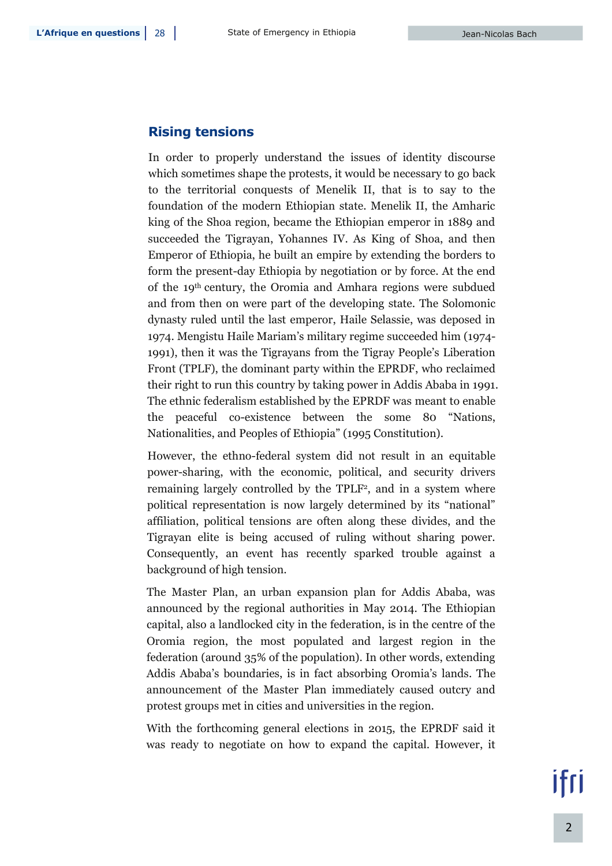### **Rising tensions**

In order to properly understand the issues of identity discourse which sometimes shape the protests, it would be necessary to go back to the territorial conquests of Menelik II, that is to say to the foundation of the modern Ethiopian state. Menelik II, the Amharic king of the Shoa region, became the Ethiopian emperor in 1889 and succeeded the Tigrayan, Yohannes IV. As King of Shoa, and then Emperor of Ethiopia, he built an empire by extending the borders to form the present-day Ethiopia by negotiation or by force. At the end of the 19th century, the Oromia and Amhara regions were subdued and from then on were part of the developing state. The Solomonic dynasty ruled until the last emperor, Haile Selassie, was deposed in 1974. Mengistu Haile Mariam's military regime succeeded him (1974- 1991), then it was the Tigrayans from the Tigray People's Liberation Front (TPLF), the dominant party within the EPRDF, who reclaimed their right to run this country by taking power in Addis Ababa in 1991. The ethnic federalism established by the EPRDF was meant to enable the peaceful co-existence between the some 80 "Nations, Nationalities, and Peoples of Ethiopia" (1995 Constitution).

However, the ethno-federal system did not result in an equitable power-sharing, with the economic, political, and security drivers remaining largely controlled by the TPLF<sup>2</sup> , and in a system where political representation is now largely determined by its "national" affiliation, political tensions are often along these divides, and the Tigrayan elite is being accused of ruling without sharing power. Consequently, an event has recently sparked trouble against a background of high tension.

The Master Plan, an urban expansion plan for Addis Ababa, was announced by the regional authorities in May 2014. The Ethiopian capital, also a landlocked city in the federation, is in the centre of the Oromia region, the most populated and largest region in the federation (around 35% of the population). In other words, extending Addis Ababa's boundaries, is in fact absorbing Oromia's lands. The announcement of the Master Plan immediately caused outcry and protest groups met in cities and universities in the region.

With the forthcoming general elections in 2015, the EPRDF said it was ready to negotiate on how to expand the capital. However, it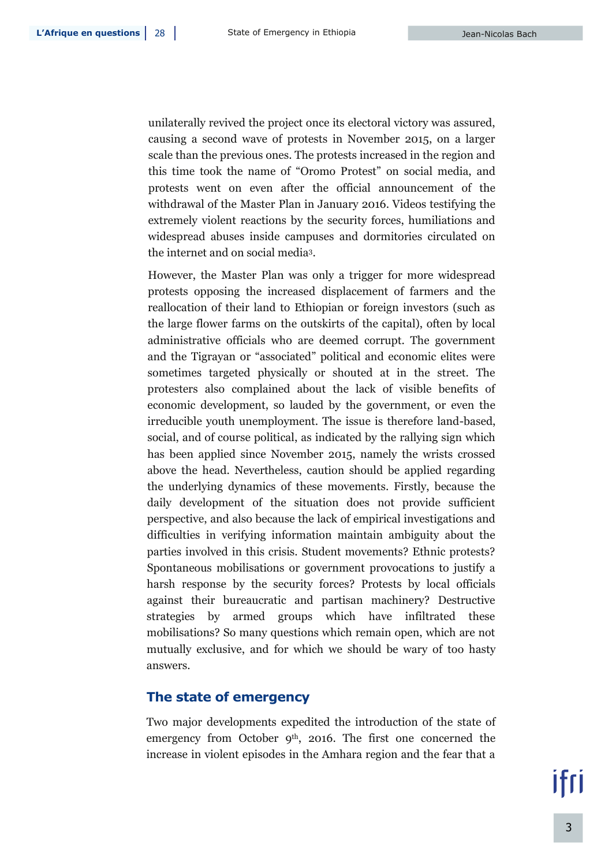unilaterally revived the project once its electoral victory was assured, causing a second wave of protests in November 2015, on a larger scale than the previous ones. The protests increased in the region and this time took the name of "Oromo Protest" on social media, and protests went on even after the official announcement of the withdrawal of the Master Plan in January 2016. Videos testifying the extremely violent reactions by the security forces, humiliations and widespread abuses inside campuses and dormitories circulated on the internet and on social media<sup>3</sup> .

However, the Master Plan was only a trigger for more widespread protests opposing the increased displacement of farmers and the reallocation of their land to Ethiopian or foreign investors (such as the large flower farms on the outskirts of the capital), often by local administrative officials who are deemed corrupt. The government and the Tigrayan or "associated" political and economic elites were sometimes targeted physically or shouted at in the street. The protesters also complained about the lack of visible benefits of economic development, so lauded by the government, or even the irreducible youth unemployment. The issue is therefore land-based, social, and of course political, as indicated by the rallying sign which has been applied since November 2015, namely the wrists crossed above the head. Nevertheless, caution should be applied regarding the underlying dynamics of these movements. Firstly, because the daily development of the situation does not provide sufficient perspective, and also because the lack of empirical investigations and difficulties in verifying information maintain ambiguity about the parties involved in this crisis. Student movements? Ethnic protests? Spontaneous mobilisations or government provocations to justify a harsh response by the security forces? Protests by local officials against their bureaucratic and partisan machinery? Destructive strategies by armed groups which have infiltrated these mobilisations? So many questions which remain open, which are not mutually exclusive, and for which we should be wary of too hasty answers.

#### **The state of emergency**

Two major developments expedited the introduction of the state of emergency from October 9<sup>th</sup>, 2016. The first one concerned the increase in violent episodes in the Amhara region and the fear that a

ifri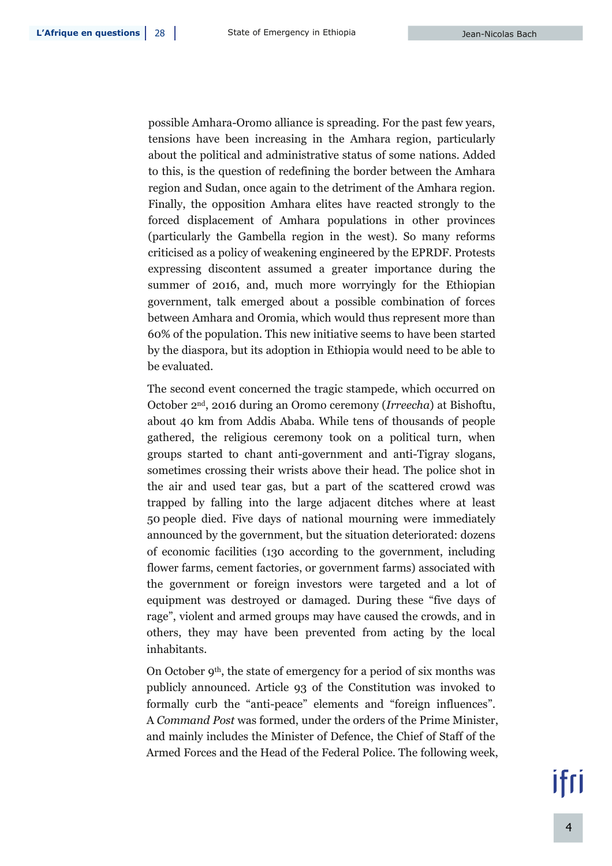possible Amhara-Oromo alliance is spreading. For the past few years, tensions have been increasing in the Amhara region, particularly about the political and administrative status of some nations. Added to this, is the question of redefining the border between the Amhara region and Sudan, once again to the detriment of the Amhara region. Finally, the opposition Amhara elites have reacted strongly to the forced displacement of Amhara populations in other provinces (particularly the Gambella region in the west). So many reforms criticised as a policy of weakening engineered by the EPRDF. Protests expressing discontent assumed a greater importance during the summer of 2016, and, much more worryingly for the Ethiopian government, talk emerged about a possible combination of forces between Amhara and Oromia, which would thus represent more than 60% of the population. This new initiative seems to have been started by the diaspora, but its adoption in Ethiopia would need to be able to be evaluated.

The second event concerned the tragic stampede, which occurred on October 2nd , 2016 during an Oromo ceremony (*Irreecha*) at Bishoftu, about 40 km from Addis Ababa. While tens of thousands of people gathered, the religious ceremony took on a political turn, when groups started to chant anti-government and anti-Tigray slogans, sometimes crossing their wrists above their head. The police shot in the air and used tear gas, but a part of the scattered crowd was trapped by falling into the large adjacent ditches where at least 50 people died. Five days of national mourning were immediately announced by the government, but the situation deteriorated: dozens of economic facilities (130 according to the government, including flower farms, cement factories, or government farms) associated with the government or foreign investors were targeted and a lot of equipment was destroyed or damaged. During these "five days of rage", violent and armed groups may have caused the crowds, and in others, they may have been prevented from acting by the local inhabitants.

On October 9<sup>th</sup>, the state of emergency for a period of six months was publicly announced. Article 93 of the Constitution was invoked to formally curb the "anti-peace" elements and "foreign influences". A *Command Post* was formed, under the orders of the Prime Minister, and mainly includes the Minister of Defence, the Chief of Staff of the Armed Forces and the Head of the Federal Police. The following week,

# ifri